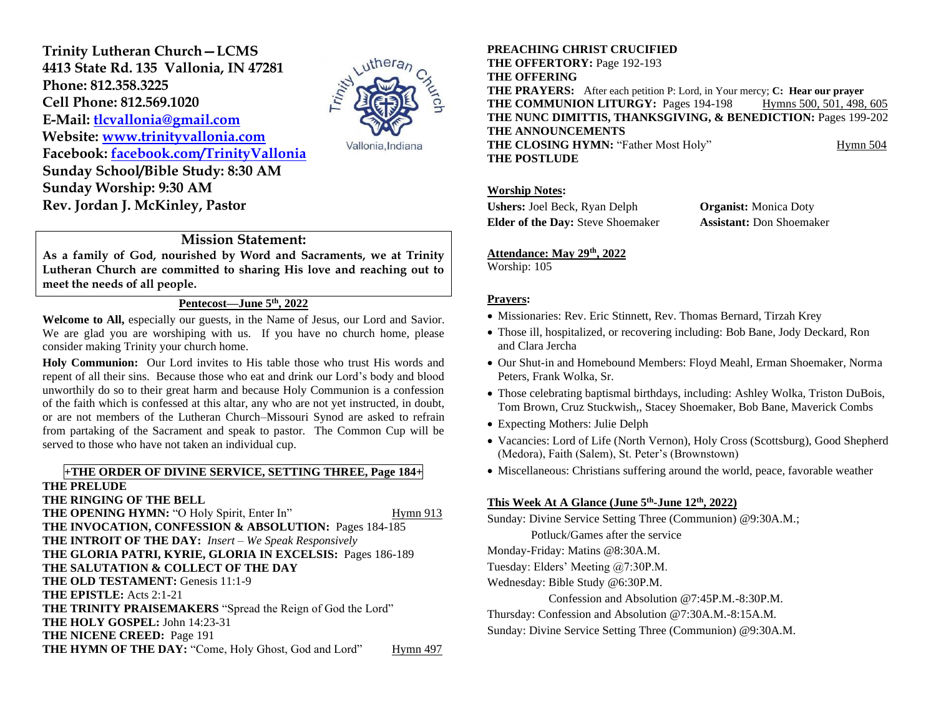**Trinity Lutheran Church—LCMS 4413 State Rd. 135 Vallonia, IN 47281 Phone: 812.358.3225 Cell Phone: 812.569.1020 E-Mail: [tlcvallonia@gmail.com](mailto:tlcvallonia@gmail.com) Website: [www.trinityvallonia.com](http://www.trinityvallonia.com/) Facebook: [facebook.com/TrinityVallonia](http://facebook.com/TrinityVallonia)  Sunday School/Bible Study: 8:30 AM Sunday Worship: 9:30 AM Rev. Jordan J. McKinley, Pastor**



## **Mission Statement:**

**As a family of God, nourished by Word and Sacraments, we at Trinity Lutheran Church are committed to sharing His love and reaching out to meet the needs of all people.**

# **Pentecost—June 5th, 2022**

**Welcome to All,** especially our guests, in the Name of Jesus, our Lord and Savior. We are glad you are worshiping with us. If you have no church home, please consider making Trinity your church home.

**Holy Communion:** Our Lord invites to His table those who trust His words and repent of all their sins. Because those who eat and drink our Lord's body and blood unworthily do so to their great harm and because Holy Communion is a confession of the faith which is confessed at this altar, any who are not yet instructed, in doubt, or are not members of the Lutheran Church–Missouri Synod are asked to refrain from partaking of the Sacrament and speak to pastor. The Common Cup will be served to those who have not taken an individual cup.

## **+THE ORDER OF DIVINE SERVICE, SETTING THREE, Page 184+**

**THE PRELUDE THE RINGING OF THE BELL THE OPENING HYMN:** "O Holy Spirit, Enter In" Hymn 913 **THE INVOCATION, CONFESSION & ABSOLUTION:** Pages 184-185 **THE INTROIT OF THE DAY:** *Insert – We Speak Responsively* **THE GLORIA PATRI, KYRIE, GLORIA IN EXCELSIS:** Pages 186-189 **THE SALUTATION & COLLECT OF THE DAY THE OLD TESTAMENT:** Genesis 11:1-9 **THE EPISTLE:** Acts 2:1-21 **THE TRINITY PRAISEMAKERS** "Spread the Reign of God the Lord" **THE HOLY GOSPEL:** John 14:23-31 **THE NICENE CREED:** Page 191 **THE HYMN OF THE DAY:** "Come, Holy Ghost, God and Lord" Hymn 497

### **PREACHING CHRIST CRUCIFIED**

**THE OFFERTORY:** Page 192-193 **THE OFFERING THE PRAYERS:** After each petition P: Lord, in Your mercy; **C: Hear our prayer THE COMMUNION LITURGY:** Pages 194-198 Hymns 500, 501, 498, 605 **THE NUNC DIMITTIS, THANKSGIVING, & BENEDICTION:** Pages 199-202 **THE ANNOUNCEMENTS THE CLOSING HYMN:** "Father Most Holy" Hymn 504 **THE POSTLUDE**

### **Worship Notes:**

**Ushers:** Joel Beck, Ryan Delph **Organist:** Monica Doty **Elder of the Day:** Steve Shoemaker **Assistant:** Don Shoemaker

### **Attendance: May 29th, 2022**

Worship: 105

### **Prayers:**

- Missionaries: Rev. Eric Stinnett, Rev. Thomas Bernard, Tirzah Krey
- Those ill, hospitalized, or recovering including: Bob Bane, Jody Deckard, Ron and Clara Jercha
- Our Shut-in and Homebound Members: Floyd Meahl, Erman Shoemaker, Norma Peters, Frank Wolka, Sr.
- Those celebrating baptismal birthdays, including: Ashley Wolka, Triston DuBois, Tom Brown, Cruz Stuckwish,, Stacey Shoemaker, Bob Bane, Maverick Combs
- Expecting Mothers: Julie Delph
- Vacancies: Lord of Life (North Vernon), Holy Cross (Scottsburg), Good Shepherd (Medora), Faith (Salem), St. Peter's (Brownstown)
- Miscellaneous: Christians suffering around the world, peace, favorable weather

### **This Week At A Glance (June 5th -June 12th, 2022)**

Sunday: Divine Service Setting Three (Communion) @9:30A.M.; Potluck/Games after the service Monday-Friday: Matins @8:30A.M. Tuesday: Elders' Meeting @7:30P.M. Wednesday: Bible Study @6:30P.M. Confession and Absolution @7:45P.M.-8:30P.M. Thursday: Confession and Absolution @7:30A.M.-8:15A.M. Sunday: Divine Service Setting Three (Communion) @9:30A.M.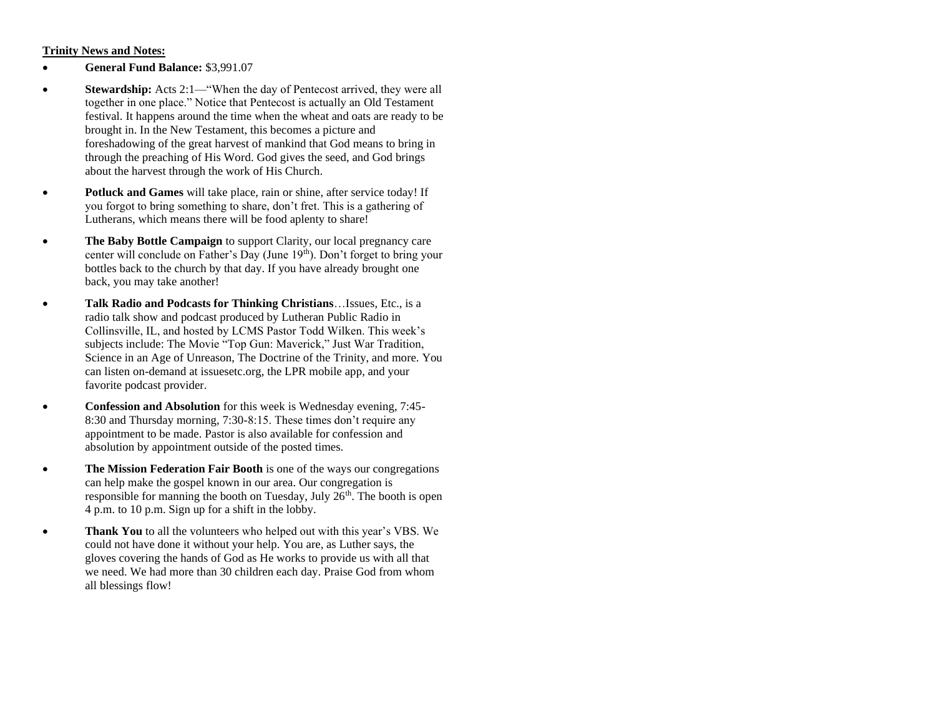### **Trinity News and Notes:**

- **General Fund Balance:** \$3,991.07
- **Stewardship:** Acts 2:1—"When the day of Pentecost arrived, they were all together in one place." Notice that Pentecost is actually an Old Testament festival. It happens around the time when the wheat and oats are ready to be brought in. In the New Testament, this becomes a picture and foreshadowing of the great harvest of mankind that God means to bring in through the preaching of His Word. God gives the seed, and God brings about the harvest through the work of His Church.
- **Potluck and Games** will take place, rain or shine, after service today! If you forgot to bring something to share, don't fret. This is a gathering of Lutherans, which means there will be food aplenty to share!
- **The Baby Bottle Campaign** to support Clarity, our local pregnancy care center will conclude on Father's Day (June 19th). Don't forget to bring your bottles back to the church by that day. If you have already brought one back, you may take another!
- **Talk Radio and Podcasts for Thinking Christians**…Issues, Etc., is a radio talk show and podcast produced by Lutheran Public Radio in Collinsville, IL, and hosted by LCMS Pastor Todd Wilken. This week's subjects include: The Movie "Top Gun: Maverick," Just War Tradition, Science in an Age of Unreason, The Doctrine of the Trinity, and more. You can listen on-demand at issuesetc.org, the LPR mobile app, and your favorite podcast provider.
- **Confession and Absolution** for this week is Wednesday evening, 7:45- 8:30 and Thursday morning, 7:30-8:15. These times don't require any appointment to be made. Pastor is also available for confession and absolution by appointment outside of the posted times.
- **The Mission Federation Fair Booth** is one of the ways our congregations can help make the gospel known in our area. Our congregation is responsible for manning the booth on Tuesday, July  $26<sup>th</sup>$ . The booth is open 4 p.m. to 10 p.m. Sign up for a shift in the lobby.
- **Thank You** to all the volunteers who helped out with this year's VBS. We could not have done it without your help. You are, as Luther says, the gloves covering the hands of God as He works to provide us with all that we need. We had more than 30 children each day. Praise God from whom all blessings flow!